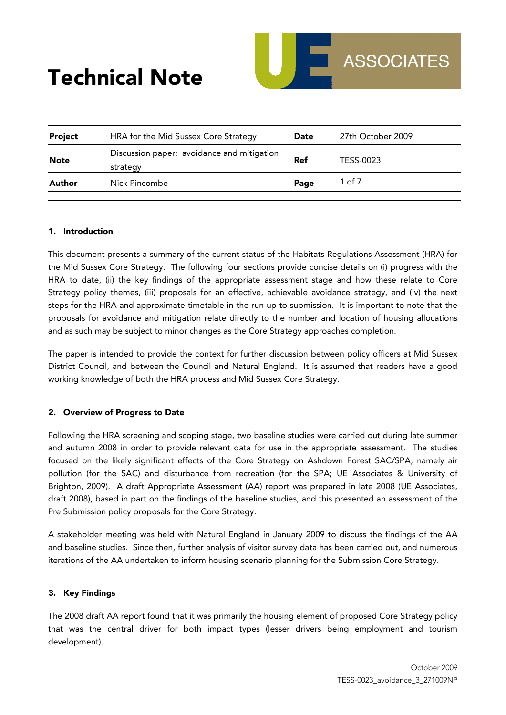| <b>Project</b> | HRA for the Mid Sussex Core Strategy                   | Date       | 27th October 2009 |
|----------------|--------------------------------------------------------|------------|-------------------|
| <b>Note</b>    | Discussion paper: avoidance and mitigation<br>strategy | <b>Ref</b> | TESS-0023         |
| Author         | Nick Pincombe                                          | Page       | 1 of 7            |

## 1. Introduction

This document presents a summary of the current status of the Habitats Regulations Assessment (HRA) for the Mid Sussex Core Strategy. The following four sections provide concise details on (i) progress with the HRA to date, (ii) the key findings of the appropriate assessment stage and how these relate to Core Strategy policy themes, (iii) proposals for an effective, achievable avoidance strategy, and (iv) the next steps for the HRA and approximate timetable in the run up to submission. It is important to note that the proposals for avoidance and mitigation relate directly to the number and location of housing allocations and as such may be subject to minor changes as the Core Strategy approaches completion.

The paper is intended to provide the context for further discussion between policy officers at Mid Sussex District Council, and between the Council and Natural England. It is assumed that readers have a good working knowledge of both the HRA process and Mid Sussex Core Strategy.

# 2. Overview of Progress to Date

Following the HRA screening and scoping stage, two baseline studies were carried out during late summer and autumn 2008 in order to provide relevant data for use in the appropriate assessment. The studies focused on the likely significant effects of the Core Strategy on Ashdown Forest SAC/SPA, namely air pollution (for the SAC) and disturbance from recreation (for the SPA; UE Associates & University of Brighton, 2009). A draft Appropriate Assessment (AA) report was prepared in late 2008 (UE Associates, draft 2008), based in part on the findings of the baseline studies, and this presented an assessment of the Pre Submission policy proposals for the Core Strategy.

A stakeholder meeting was held with Natural England in January 2009 to discuss the findings of the AA and baseline studies. Since then, further analysis of visitor survey data has been carried out, and numerous iterations of the AA undertaken to inform housing scenario planning for the Submission Core Strategy.

# 3. Key Findings

The 2008 draft AA report found that it was primarily the housing element of proposed Core Strategy policy that was the central driver for both impact types (lesser drivers being employment and tourism development).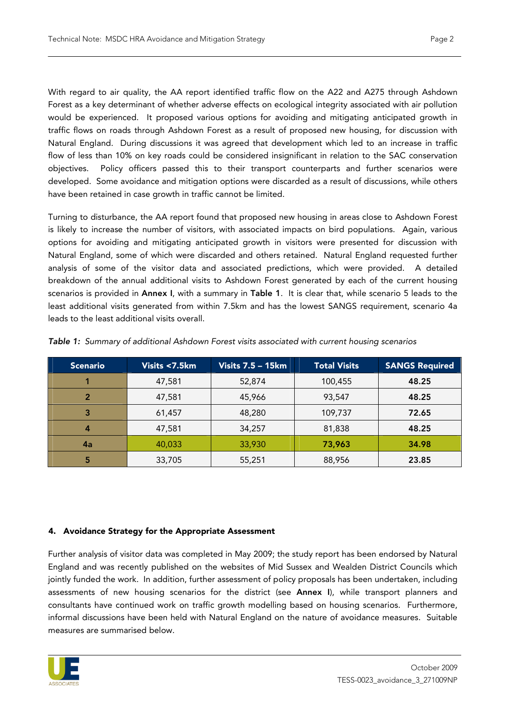With regard to air quality, the AA report identified traffic flow on the A22 and A275 through Ashdown Forest as a key determinant of whether adverse effects on ecological integrity associated with air pollution would be experienced. It proposed various options for avoiding and mitigating anticipated growth in traffic flows on roads through Ashdown Forest as a result of proposed new housing, for discussion with Natural England. During discussions it was agreed that development which led to an increase in traffic flow of less than 10% on key roads could be considered insignificant in relation to the SAC conservation objectives. Policy officers passed this to their transport counterparts and further scenarios were developed. Some avoidance and mitigation options were discarded as a result of discussions, while others have been retained in case growth in traffic cannot be limited.

Turning to disturbance, the AA report found that proposed new housing in areas close to Ashdown Forest is likely to increase the number of visitors, with associated impacts on bird populations. Again, various options for avoiding and mitigating anticipated growth in visitors were presented for discussion with Natural England, some of which were discarded and others retained. Natural England requested further analysis of some of the visitor data and associated predictions, which were provided. A detailed breakdown of the annual additional visits to Ashdown Forest generated by each of the current housing scenarios is provided in Annex I, with a summary in Table 1. It is clear that, while scenario 5 leads to the least additional visits generated from within 7.5km and has the lowest SANGS requirement, scenario 4a leads to the least additional visits overall.

| <b>Scenario</b> | Visits <7.5km | <b>Visits 7.5 - 15km</b> | <b>Total Visits</b> | <b>SANGS Required</b> |
|-----------------|---------------|--------------------------|---------------------|-----------------------|
|                 | 47,581        | 52,874                   | 100,455             | 48.25                 |
|                 | 47,581        | 45,966                   | 93,547              | 48.25                 |
|                 | 61,457        | 48,280                   | 109,737             | 72.65                 |
|                 | 47,581        | 34,257                   | 81,838              | 48.25                 |
| 4a              | 40,033        | 33,930                   | 73,963              | 34.98                 |
|                 | 33,705        | 55,251                   | 88,956              | 23.85                 |

Table 1: Summary of additional Ashdown Forest visits associated with current housing scenarios

# 4. Avoidance Strategy for the Appropriate Assessment

Further analysis of visitor data was completed in May 2009; the study report has been endorsed by Natural England and was recently published on the websites of Mid Sussex and Wealden District Councils which jointly funded the work. In addition, further assessment of policy proposals has been undertaken, including assessments of new housing scenarios for the district (see Annex I), while transport planners and consultants have continued work on traffic growth modelling based on housing scenarios. Furthermore, informal discussions have been held with Natural England on the nature of avoidance measures. Suitable measures are summarised below.

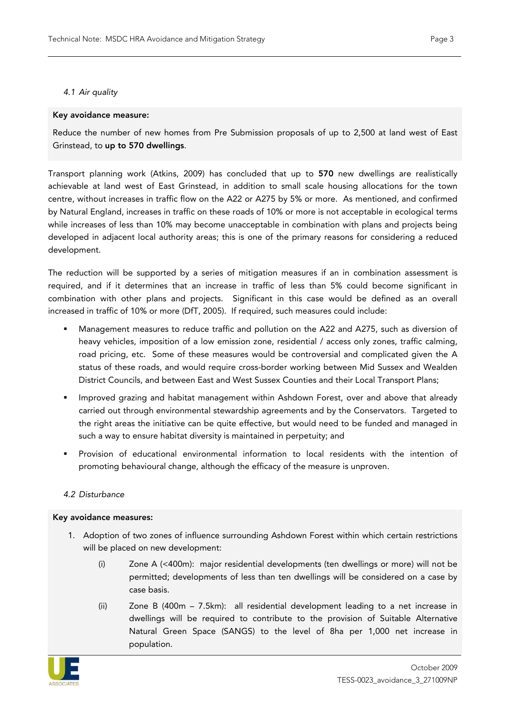# 4.1 Air quality

# Key avoidance measure:

Reduce the number of new homes from Pre Submission proposals of up to 2,500 at land west of East Grinstead, to up to 570 dwellings.

Transport planning work (Atkins, 2009) has concluded that up to 570 new dwellings are realistically achievable at land west of East Grinstead, in addition to small scale housing allocations for the town centre, without increases in traffic flow on the A22 or A275 by 5% or more. As mentioned, and confirmed by Natural England, increases in traffic on these roads of 10% or more is not acceptable in ecological terms while increases of less than 10% may become unacceptable in combination with plans and projects being developed in adjacent local authority areas; this is one of the primary reasons for considering a reduced development.

The reduction will be supported by a series of mitigation measures if an in combination assessment is required, and if it determines that an increase in traffic of less than 5% could become significant in combination with other plans and projects. Significant in this case would be defined as an overall increased in traffic of 10% or more (DfT, 2005). If required, such measures could include:

- Management measures to reduce traffic and pollution on the A22 and A275, such as diversion of heavy vehicles, imposition of a low emission zone, residential / access only zones, traffic calming, road pricing, etc. Some of these measures would be controversial and complicated given the A status of these roads, and would require cross-border working between Mid Sussex and Wealden District Councils, and between East and West Sussex Counties and their Local Transport Plans;
- **IMPROVED ASSED FORM** 1 and habitat management within Ashdown Forest, over and above that already carried out through environmental stewardship agreements and by the Conservators. Targeted to the right areas the initiative can be quite effective, but would need to be funded and managed in such a way to ensure habitat diversity is maintained in perpetuity; and
- Provision of educational environmental information to local residents with the intention of promoting behavioural change, although the efficacy of the measure is unproven.

# 4.2 Disturbance

# Key avoidance measures:

- 1. Adoption of two zones of influence surrounding Ashdown Forest within which certain restrictions will be placed on new development:
	- (i) Zone A (<400m): major residential developments (ten dwellings or more) will not be permitted; developments of less than ten dwellings will be considered on a case by case basis.
	- (ii) Zone B (400m 7.5km): all residential development leading to a net increase in dwellings will be required to contribute to the provision of Suitable Alternative Natural Green Space (SANGS) to the level of 8ha per 1,000 net increase in population.

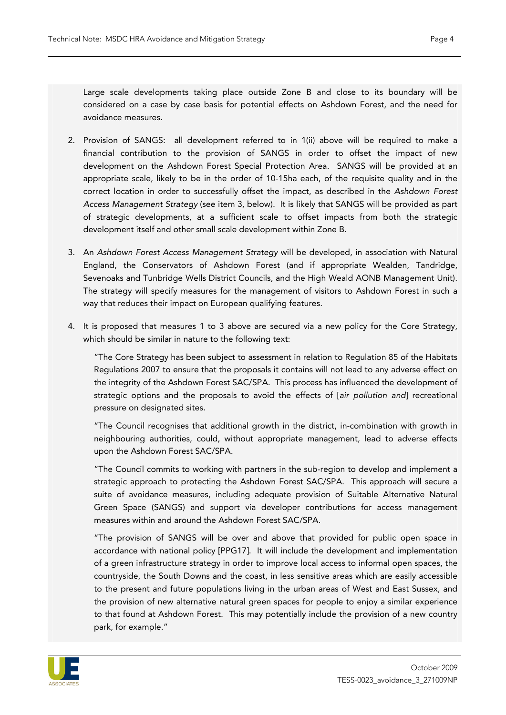Large scale developments taking place outside Zone B and close to its boundary will be considered on a case by case basis for potential effects on Ashdown Forest, and the need for avoidance measures.

- 2. Provision of SANGS: all development referred to in 1(ii) above will be required to make a financial contribution to the provision of SANGS in order to offset the impact of new development on the Ashdown Forest Special Protection Area. SANGS will be provided at an appropriate scale, likely to be in the order of 10-15ha each, of the requisite quality and in the correct location in order to successfully offset the impact, as described in the Ashdown Forest Access Management Strategy (see item 3, below). It is likely that SANGS will be provided as part of strategic developments, at a sufficient scale to offset impacts from both the strategic development itself and other small scale development within Zone B.
- 3. An Ashdown Forest Access Management Strategy will be developed, in association with Natural England, the Conservators of Ashdown Forest (and if appropriate Wealden, Tandridge, Sevenoaks and Tunbridge Wells District Councils, and the High Weald AONB Management Unit). The strategy will specify measures for the management of visitors to Ashdown Forest in such a way that reduces their impact on European qualifying features.
- 4. It is proposed that measures 1 to 3 above are secured via a new policy for the Core Strategy, which should be similar in nature to the following text:

"The Core Strategy has been subject to assessment in relation to Regulation 85 of the Habitats Regulations 2007 to ensure that the proposals it contains will not lead to any adverse effect on the integrity of the Ashdown Forest SAC/SPA. This process has influenced the development of strategic options and the proposals to avoid the effects of [air pollution and] recreational pressure on designated sites.

"The Council recognises that additional growth in the district, in-combination with growth in neighbouring authorities, could, without appropriate management, lead to adverse effects upon the Ashdown Forest SAC/SPA.

"The Council commits to working with partners in the sub-region to develop and implement a strategic approach to protecting the Ashdown Forest SAC/SPA. This approach will secure a suite of avoidance measures, including adequate provision of Suitable Alternative Natural Green Space (SANGS) and support via developer contributions for access management measures within and around the Ashdown Forest SAC/SPA.

"The provision of SANGS will be over and above that provided for public open space in accordance with national policy [PPG17]. It will include the development and implementation of a green infrastructure strategy in order to improve local access to informal open spaces, the countryside, the South Downs and the coast, in less sensitive areas which are easily accessible to the present and future populations living in the urban areas of West and East Sussex, and the provision of new alternative natural green spaces for people to enjoy a similar experience to that found at Ashdown Forest. This may potentially include the provision of a new country park, for example."

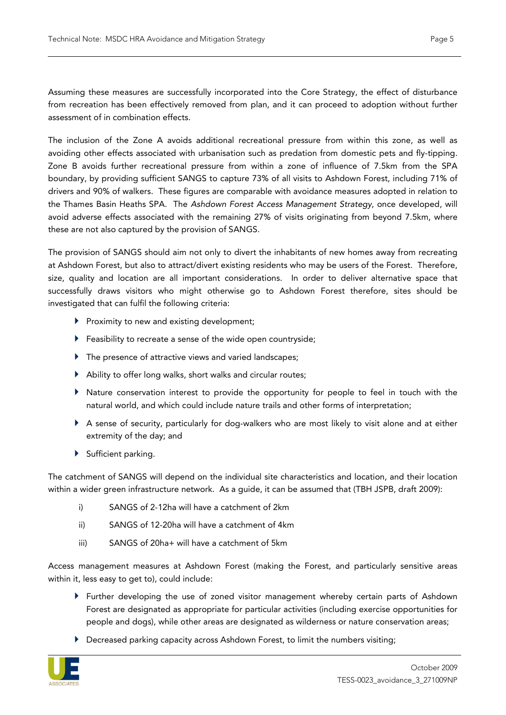Assuming these measures are successfully incorporated into the Core Strategy, the effect of disturbance from recreation has been effectively removed from plan, and it can proceed to adoption without further assessment of in combination effects.

The inclusion of the Zone A avoids additional recreational pressure from within this zone, as well as avoiding other effects associated with urbanisation such as predation from domestic pets and fly-tipping. Zone B avoids further recreational pressure from within a zone of influence of 7.5km from the SPA boundary, by providing sufficient SANGS to capture 73% of all visits to Ashdown Forest, including 71% of drivers and 90% of walkers. These figures are comparable with avoidance measures adopted in relation to the Thames Basin Heaths SPA. The Ashdown Forest Access Management Strategy, once developed, will avoid adverse effects associated with the remaining 27% of visits originating from beyond 7.5km, where these are not also captured by the provision of SANGS.

The provision of SANGS should aim not only to divert the inhabitants of new homes away from recreating at Ashdown Forest, but also to attract/divert existing residents who may be users of the Forest. Therefore, size, quality and location are all important considerations. In order to deliver alternative space that successfully draws visitors who might otherwise go to Ashdown Forest therefore, sites should be investigated that can fulfil the following criteria:

- $\blacktriangleright$  Proximity to new and existing development:
- Feasibility to recreate a sense of the wide open countryside;
- ▶ The presence of attractive views and varied landscapes;
- Ability to offer long walks, short walks and circular routes;
- $\blacktriangleright$  Nature conservation interest to provide the opportunity for people to feel in touch with the natural world, and which could include nature trails and other forms of interpretation;
- A sense of security, particularly for dog-walkers who are most likely to visit alone and at either extremity of the day; and
- Sufficient parking.

The catchment of SANGS will depend on the individual site characteristics and location, and their location within a wider green infrastructure network. As a guide, it can be assumed that (TBH JSPB, draft 2009):

- i) SANGS of 2-12ha will have a catchment of 2km
- ii) SANGS of 12-20ha will have a catchment of 4km
- iii) SANGS of 20ha+ will have a catchment of 5km

Access management measures at Ashdown Forest (making the Forest, and particularly sensitive areas within it, less easy to get to), could include:

- Further developing the use of zoned visitor management whereby certain parts of Ashdown Forest are designated as appropriate for particular activities (including exercise opportunities for people and dogs), while other areas are designated as wilderness or nature conservation areas;
- ▶ Decreased parking capacity across Ashdown Forest, to limit the numbers visiting;

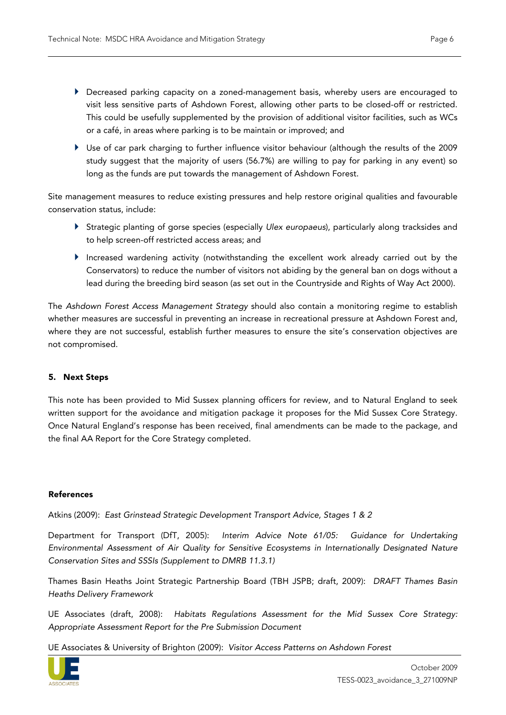- Decreased parking capacity on a zoned-management basis, whereby users are encouraged to visit less sensitive parts of Ashdown Forest, allowing other parts to be closed-off or restricted. This could be usefully supplemented by the provision of additional visitor facilities, such as WCs or a café, in areas where parking is to be maintain or improved; and
- Use of car park charging to further influence visitor behaviour (although the results of the 2009 study suggest that the majority of users (56.7%) are willing to pay for parking in any event) so long as the funds are put towards the management of Ashdown Forest.

Site management measures to reduce existing pressures and help restore original qualities and favourable conservation status, include:

- Strategic planting of gorse species (especially Ulex europaeus), particularly along tracksides and to help screen-off restricted access areas; and
- Increased wardening activity (notwithstanding the excellent work already carried out by the Conservators) to reduce the number of visitors not abiding by the general ban on dogs without a lead during the breeding bird season (as set out in the Countryside and Rights of Way Act 2000).

The Ashdown Forest Access Management Strategy should also contain a monitoring regime to establish whether measures are successful in preventing an increase in recreational pressure at Ashdown Forest and, where they are not successful, establish further measures to ensure the site's conservation objectives are not compromised.

# 5. Next Steps

This note has been provided to Mid Sussex planning officers for review, and to Natural England to seek written support for the avoidance and mitigation package it proposes for the Mid Sussex Core Strategy. Once Natural England's response has been received, final amendments can be made to the package, and the final AA Report for the Core Strategy completed.

# References

Atkins (2009): East Grinstead Strategic Development Transport Advice, Stages 1 & 2

Department for Transport (DfT, 2005): Interim Advice Note 61/05: Guidance for Undertaking Environmental Assessment of Air Quality for Sensitive Ecosystems in Internationally Designated Nature Conservation Sites and SSSIs (Supplement to DMRB 11.3.1)

Thames Basin Heaths Joint Strategic Partnership Board (TBH JSPB; draft, 2009): DRAFT Thames Basin Heaths Delivery Framework

UE Associates (draft, 2008): Habitats Regulations Assessment for the Mid Sussex Core Strategy: Appropriate Assessment Report for the Pre Submission Document

UE Associates & University of Brighton (2009): Visitor Access Patterns on Ashdown Forest

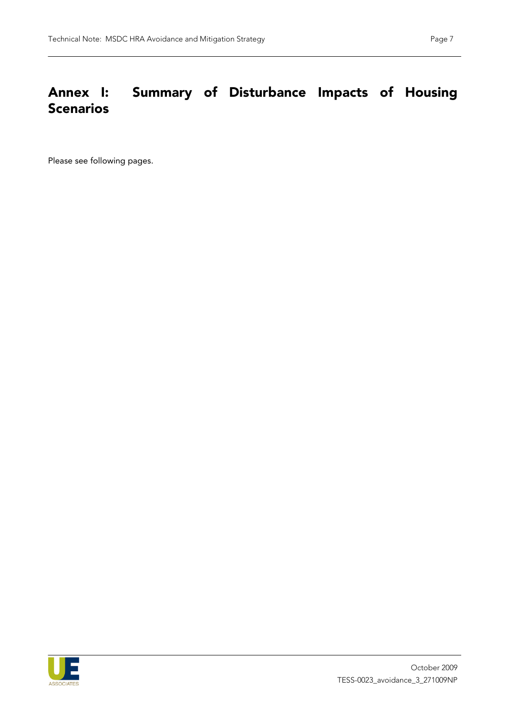# Annex I: Summary of Disturbance Impacts of Housing **Scenarios**

Please see following pages.

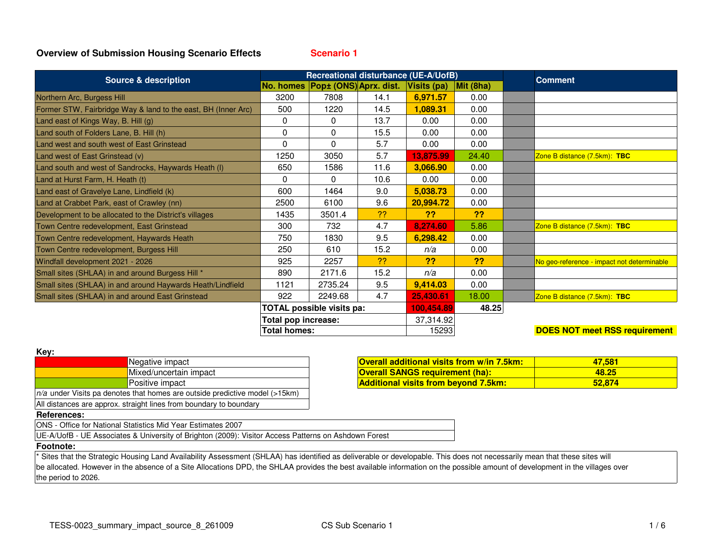**Scenario 1**

| <b>Source &amp; description</b>                               | Recreational disturbance (UE-A/UofB) |                                  |      |             |           | <b>Comment</b>                             |
|---------------------------------------------------------------|--------------------------------------|----------------------------------|------|-------------|-----------|--------------------------------------------|
|                                                               |                                      | No. homes Popt (ONS) Aprx. dist. |      | Visits (pa) | Mit (8ha) |                                            |
| Northern Arc, Burgess Hill                                    | 3200                                 | 7808                             | 14.1 | 6,971.57    | 0.00      |                                            |
| Former STW, Fairbridge Way & land to the east, BH (Inner Arc) | 500                                  | 1220                             | 14.5 | 1,089.31    | 0.00      |                                            |
| Land east of Kings Way, B. Hill (g)                           | 0                                    | $\Omega$                         | 13.7 | 0.00        | 0.00      |                                            |
| Land south of Folders Lane, B. Hill (h)                       | 0                                    | $\mathbf 0$                      | 15.5 | 0.00        | 0.00      |                                            |
| Land west and south west of East Grinstead                    | 0                                    | $\Omega$                         | 5.7  | 0.00        | 0.00      |                                            |
| Land west of East Grinstead (v)                               | 1250                                 | 3050                             | 5.7  | 13,875.99   | 24.40     | Zone B distance (7.5km): TBC               |
| Land south and west of Sandrocks, Haywards Heath (I)          | 650                                  | 1586                             | 11.6 | 3,066.90    | 0.00      |                                            |
| Land at Hurst Farm, H. Heath (t)                              | 0                                    | $\Omega$                         | 10.6 | 0.00        | 0.00      |                                            |
| Land east of Gravelye Lane, Lindfield (k)                     | 600                                  | 1464                             | 9.0  | 5,038.73    | 0.00      |                                            |
| Land at Crabbet Park, east of Crawley (nn)                    | 2500                                 | 6100                             | 9.6  | 20,994.72   | 0.00      |                                            |
| Development to be allocated to the District's villages        | 1435                                 | 3501.4                           | ??   | ??          | ??        |                                            |
| Town Centre redevelopment, East Grinstead                     | 300                                  | 732                              | 4.7  | 8,274.60    | 5.86      | Zone B distance (7.5km): TBC               |
| Town Centre redevelopment, Haywards Heath                     | 750                                  | 1830                             | 9.5  | 6,298.42    | 0.00      |                                            |
| Town Centre redevelopment, Burgess Hill                       | 250                                  | 610                              | 15.2 | n/a         | 0.00      |                                            |
| Windfall development 2021 - 2026                              | 925                                  | 2257                             | ??   | ??          | ??        | No geo-reference - impact not determinable |
| Small sites (SHLAA) in and around Burgess Hill *              | 890                                  | 2171.6                           | 15.2 | n/a         | 0.00      |                                            |
| Small sites (SHLAA) in and around Haywards Heath/Lindfield    | 1121                                 | 2735.24                          | 9.5  | 9,414.03    | 0.00      |                                            |
| Small sites (SHLAA) in and around East Grinstead              | 922                                  | 2249.68                          | 4.7  | 25,430.61   | 18.00     | Zone B distance (7.5km): TBC               |
|                                                               | <b>TOTAL possible visits pa:</b>     |                                  |      | 100,454.89  | 48.25     |                                            |
|                                                               | Total pop increase:                  |                                  |      | 37,314.92   |           |                                            |
|                                                               | Total homes:                         |                                  |      | 15293       |           | <b>DOES NOT meet RSS requirement</b>       |

| I<br>٠<br>× |  |
|-------------|--|

| <b>NGV.</b>                                                                   |                        |  |  |  |  |
|-------------------------------------------------------------------------------|------------------------|--|--|--|--|
|                                                                               | Negative impact        |  |  |  |  |
|                                                                               | Mixed/uncertain impact |  |  |  |  |
|                                                                               | <b>Positive impact</b> |  |  |  |  |
| $n/a$ under Visits pa denotes that homes are outside predictive model (>15km) |                        |  |  |  |  |
| All distances are approx. straight lines from boundary to boundary            |                        |  |  |  |  |

|          | <b>Overall additional visits from w/in 7.5km:</b> | 47.581 |
|----------|---------------------------------------------------|--------|
| n impact | <b>Overall SANGS requirement (ha):</b>            | 48.25  |
|          | <b>Additional visits from bevond 7.5km:</b>       | 52.874 |

## **References:**

ONS - Office for National Statistics Mid Year Estimates 2007

UE-A/UofB - UE Associates & University of Brighton (2009): Visitor Access Patterns on Ashdown Forest

#### **Footnote:**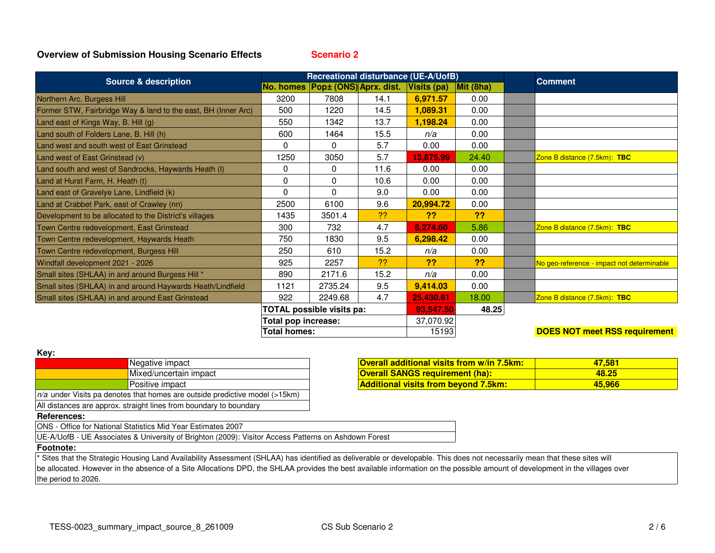**Scenario 2**

|                                                               | Recreational disturbance (UE-A/UofB) |                                  |           |             |                   |                                            |
|---------------------------------------------------------------|--------------------------------------|----------------------------------|-----------|-------------|-------------------|--------------------------------------------|
| <b>Source &amp; description</b>                               |                                      | No. homes Pop± (ONS) Aprx. dist. |           | Visits (pa) | $\vert$ Mit (8ha) | <b>Comment</b>                             |
| Northern Arc, Burgess Hill                                    | 3200                                 | 7808                             | 14.1      | 6,971.57    | 0.00              |                                            |
| Former STW, Fairbridge Way & land to the east, BH (Inner Arc) | 500                                  | 1220                             | 14.5      | 1,089.31    | 0.00              |                                            |
| Land east of Kings Way, B. Hill (g)                           | 550                                  | 1342                             | 13.7      | 1,198.24    | 0.00              |                                            |
| Land south of Folders Lane, B. Hill (h)                       | 600                                  | 1464                             | 15.5      | n/a         | 0.00              |                                            |
| Land west and south west of East Grinstead                    | 0                                    | $\Omega$                         | 5.7       | 0.00        | 0.00              |                                            |
| Land west of East Grinstead (v)                               | 1250                                 | 3050                             | 5.7       | 13,875.99   | 24.40             | Zone B distance (7.5km): TBC               |
| Land south and west of Sandrocks, Haywards Heath (I)          | 0                                    | $\mathbf{0}$                     | 11.6      | 0.00        | 0.00              |                                            |
| Land at Hurst Farm, H. Heath (t)                              | 0                                    | $\mathbf{0}$                     | 10.6      | 0.00        | 0.00              |                                            |
| Land east of Gravelye Lane, Lindfield (k)                     | 0                                    | $\Omega$                         | 9.0       | 0.00        | 0.00              |                                            |
| Land at Crabbet Park, east of Crawley (nn)                    | 2500                                 | 6100                             | 9.6       | 20,994.72   | 0.00              |                                            |
| Development to be allocated to the District's villages        | 1435                                 | 3501.4                           | ??        | ??          | ??                |                                            |
| Town Centre redevelopment, East Grinstead                     | 300                                  | 732                              | 4.7       | 8,274.60    | 5.86              | Zone B distance (7.5km): TBC               |
| Town Centre redevelopment, Haywards Heath                     | 750                                  | 1830                             | 9.5       | 6,298.42    | 0.00              |                                            |
| Town Centre redevelopment, Burgess Hill                       | 250                                  | 610                              | 15.2      | n/a         | 0.00              |                                            |
| Windfall development 2021 - 2026                              | 925                                  | 2257                             | ??        | ??          | ??                | No geo-reference - impact not determinable |
| Small sites (SHLAA) in and around Burgess Hill *              | 890                                  | 2171.6                           | 15.2      | n/a         | 0.00              |                                            |
| Small sites (SHLAA) in and around Haywards Heath/Lindfield    | 1121                                 | 2735.24                          | 9.5       | 9,414.03    | 0.00              |                                            |
| Small sites (SHLAA) in and around East Grinstead              | 922                                  | 2249.68                          | 4.7       | 25,430.61   | 18.00             | Zone B distance (7.5km): TBC               |
|                                                               | <b>TOTAL possible visits pa:</b>     |                                  | 93,547.50 | 48.25       |                   |                                            |
|                                                               | Total pop increase:                  |                                  |           | 37,070.92   |                   |                                            |
|                                                               | <b>Total homes:</b>                  |                                  |           | 15193       |                   | <b>DOES NOT meet RSS requirement</b>       |

#### **Key:**

|                                                                               | Negative impact        |  |  |  |
|-------------------------------------------------------------------------------|------------------------|--|--|--|
|                                                                               | Mixed/uncertain impact |  |  |  |
|                                                                               | Positive impact        |  |  |  |
| $n/a$ under Visits pa denotes that homes are outside predictive model (>15km) |                        |  |  |  |
| All distances are approx. straight lines from boundary to boundary            |                        |  |  |  |

|          | <b>Overall additional visits from w/in 7.5km;</b> | 47.581 |
|----------|---------------------------------------------------|--------|
| n impact | <b>Overall SANGS requirement (ha):</b>            | 48.25  |
|          | <b>Additional visits from beyond 7.5km:</b>       | 45.966 |

#### **References:**

ONS - Office for National Statistics Mid Year Estimates 2007

UE-A/UofB - UE Associates & University of Brighton (2009): Visitor Access Patterns on Ashdown Forest

## **Footnote:**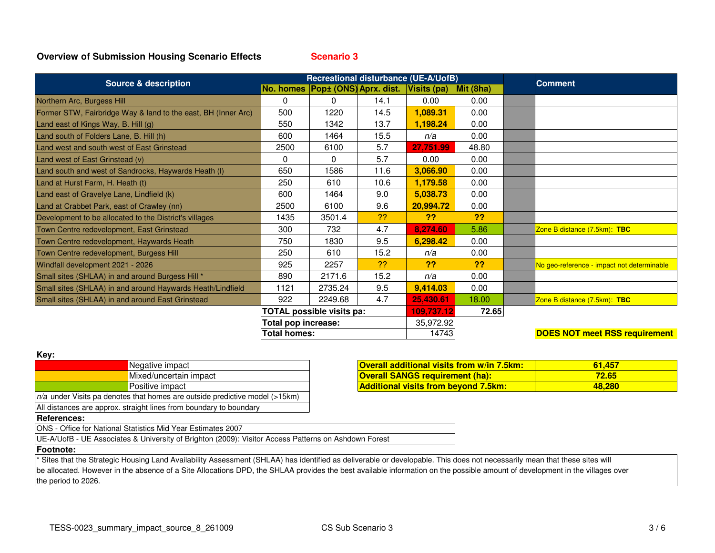**Scenario 3**

| <b>Source &amp; description</b>                               | Recreational disturbance (UE-A/UofB) |                     |                                              |            |                   | <b>Comment</b>                             |  |
|---------------------------------------------------------------|--------------------------------------|---------------------|----------------------------------------------|------------|-------------------|--------------------------------------------|--|
|                                                               |                                      |                     | No. homes Pop± (ONS) Aprx. dist. Visits (pa) |            | $\vert$ Mit (8ha) |                                            |  |
| Northern Arc, Burgess Hill                                    | 0                                    | 0                   | 14.1                                         | 0.00       | 0.00              |                                            |  |
| Former STW, Fairbridge Way & land to the east, BH (Inner Arc) | 500                                  | 1220                | 14.5                                         | 1,089.31   | 0.00              |                                            |  |
| Land east of Kings Way, B. Hill (g)                           | 550                                  | 1342                | 13.7                                         | 1,198.24   | 0.00              |                                            |  |
| Land south of Folders Lane, B. Hill (h)                       | 600                                  | 1464                | 15.5                                         | n/a        | 0.00              |                                            |  |
| Land west and south west of East Grinstead                    | 2500                                 | 6100                | 5.7                                          | 27,751.99  | 48.80             |                                            |  |
| Land west of East Grinstead (v)                               | 0                                    | $\mathbf{0}$        | 5.7                                          | 0.00       | 0.00              |                                            |  |
| Land south and west of Sandrocks, Haywards Heath (I)          | 650                                  | 1586                | 11.6                                         | 3,066.90   | 0.00              |                                            |  |
| Land at Hurst Farm, H. Heath (t)                              | 250                                  | 610                 | 10.6                                         | 1,179.58   | 0.00              |                                            |  |
| Land east of Gravelye Lane, Lindfield (k)                     | 600                                  | 1464                | 9.0                                          | 5,038.73   | 0.00              |                                            |  |
| Land at Crabbet Park, east of Crawley (nn)                    | 2500                                 | 6100                | 9.6                                          | 20,994.72  | 0.00              |                                            |  |
| Development to be allocated to the District's villages        | 1435                                 | 3501.4              | ??                                           | ??         | ??                |                                            |  |
| Town Centre redevelopment, East Grinstead                     | 300                                  | 732                 | 4.7                                          | 8,274.60   | 5.86              | Zone B distance (7.5km): TBC               |  |
| Town Centre redevelopment, Haywards Heath                     | 750                                  | 1830                | 9.5                                          | 6,298.42   | 0.00              |                                            |  |
| Town Centre redevelopment, Burgess Hill                       | 250                                  | 610                 | 15.2                                         | n/a        | 0.00              |                                            |  |
| Windfall development 2021 - 2026                              | 925                                  | 2257                | -??                                          | ??         | ??                | No geo-reference - impact not determinable |  |
| Small sites (SHLAA) in and around Burgess Hill *              | 890                                  | 2171.6              | 15.2                                         | n/a        | 0.00              |                                            |  |
| Small sites (SHLAA) in and around Haywards Heath/Lindfield    | 1121                                 | 2735.24             | 9.5                                          | 9,414.03   | 0.00              |                                            |  |
| Small sites (SHLAA) in and around East Grinstead              | 922                                  | 2249.68             | 4.7                                          | 25,430.61  | 18.00             | Zone B distance (7.5km): TBC               |  |
|                                                               | TOTAL possible visits pa:            |                     |                                              | 109,737.12 | 72.65             |                                            |  |
|                                                               | Total pop increase:                  |                     |                                              | 35,972.92  |                   |                                            |  |
|                                                               |                                      | <b>Total homes:</b> |                                              |            | 14743             | <b>DOES NOT meet RSS requirement</b>       |  |

| × |  |
|---|--|

| <b>IVGA</b> .                                                                 |                                                                    |  |  |  |
|-------------------------------------------------------------------------------|--------------------------------------------------------------------|--|--|--|
|                                                                               | Negative impact                                                    |  |  |  |
|                                                                               | Mixed/uncertain impact                                             |  |  |  |
|                                                                               | Positive impact                                                    |  |  |  |
| $n/a$ under Visits pa denotes that homes are outside predictive model (>15km) |                                                                    |  |  |  |
|                                                                               | All distances are approx. straight lines from boundary to boundary |  |  |  |

|          | <b>Overall additional visits from w/in 7.5km:</b> | 61.457 |
|----------|---------------------------------------------------|--------|
| n impact | <b>Overall SANGS requirement (ha):</b>            | 72.65  |
|          | <b>Additional visits from beyond 7.5km:</b>       | 48.280 |

#### **References:**

ONS - Office for National Statistics Mid Year Estimates 2007

UE-A/UofB - UE Associates & University of Brighton (2009): Visitor Access Patterns on Ashdown Forest

## **Footnote:**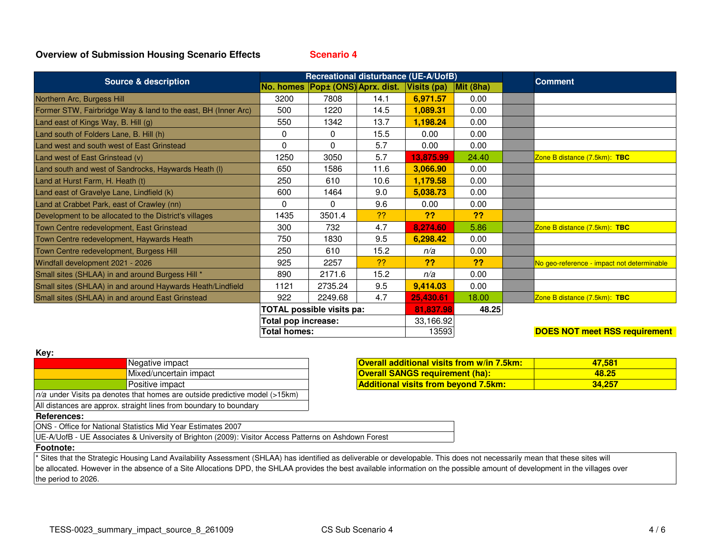**Scenario 4**

| <b>Source &amp; description</b>                               | Recreational disturbance (UE-A/UofB) |                                  |      |             |                   | <b>Comment</b>                             |  |
|---------------------------------------------------------------|--------------------------------------|----------------------------------|------|-------------|-------------------|--------------------------------------------|--|
|                                                               |                                      | No. homes Pop± (ONS) Aprx. dist. |      | Visits (pa) | $\vert$ Mit (8ha) |                                            |  |
| Northern Arc, Burgess Hill                                    | 3200                                 | 7808                             | 14.1 | 6,971.57    | 0.00              |                                            |  |
| Former STW, Fairbridge Way & land to the east, BH (Inner Arc) | 500                                  | 1220                             | 14.5 | 1,089.31    | 0.00              |                                            |  |
| Land east of Kings Way, B. Hill (g)                           | 550                                  | 1342                             | 13.7 | 1,198.24    | 0.00              |                                            |  |
| Land south of Folders Lane, B. Hill (h)                       | 0                                    | 0                                | 15.5 | 0.00        | 0.00              |                                            |  |
| Land west and south west of East Grinstead                    | 0                                    | $\Omega$                         | 5.7  | 0.00        | 0.00              |                                            |  |
| Land west of East Grinstead (v)                               | 1250                                 | 3050                             | 5.7  | 13,875.99   | 24.40             | Zone B distance (7.5km): TBC               |  |
| Land south and west of Sandrocks, Haywards Heath (I)          | 650                                  | 1586                             | 11.6 | 3,066.90    | 0.00              |                                            |  |
| Land at Hurst Farm, H. Heath (t)                              | 250                                  | 610                              | 10.6 | 1,179.58    | 0.00              |                                            |  |
| Land east of Gravelye Lane, Lindfield (k)                     | 600                                  | 1464                             | 9.0  | 5,038.73    | 0.00              |                                            |  |
| Land at Crabbet Park, east of Crawley (nn)                    | 0                                    | 0                                | 9.6  | 0.00        | 0.00              |                                            |  |
| Development to be allocated to the District's villages        | 1435                                 | 3501.4                           | ??   | ??          | ??                |                                            |  |
| Town Centre redevelopment, East Grinstead                     | 300                                  | 732                              | 4.7  | 8,274.60    | 5.86              | Zone B distance (7.5km): TBC               |  |
| Town Centre redevelopment, Haywards Heath                     | 750                                  | 1830                             | 9.5  | 6,298.42    | 0.00              |                                            |  |
| Town Centre redevelopment, Burgess Hill                       | 250                                  | 610                              | 15.2 | n/a         | 0.00              |                                            |  |
| Windfall development 2021 - 2026                              | 925                                  | 2257                             | ??   | ??          | ??                | No geo-reference - impact not determinable |  |
| Small sites (SHLAA) in and around Burgess Hill *              | 890                                  | 2171.6                           | 15.2 | n/a         | 0.00              |                                            |  |
| Small sites (SHLAA) in and around Haywards Heath/Lindfield    | 1121                                 | 2735.24                          | 9.5  | 9,414.03    | 0.00              |                                            |  |
| Small sites (SHLAA) in and around East Grinstead              | 922                                  | 2249.68                          | 4.7  | 25,430.61   | 18.00             | Zone B distance (7.5km): TBC               |  |
|                                                               | TOTAL possible visits pa:            |                                  |      | 81,837.98   | 48.25             |                                            |  |
|                                                               | Total pop increase:                  |                                  |      | 33,166.92   |                   |                                            |  |
|                                                               | <b>Total homes:</b>                  |                                  |      | 13593       |                   | <b>DOES NOT meet RSS requirement</b>       |  |

#### **Key:**

|                                                                               | Negative impact        |  |  |  |
|-------------------------------------------------------------------------------|------------------------|--|--|--|
|                                                                               | Mixed/uncertain impact |  |  |  |
|                                                                               | Positive impact        |  |  |  |
| $n/a$ under Visits pa denotes that homes are outside predictive model (>15km) |                        |  |  |  |
| All distances are approx. straight lines from boundary to boundary            |                        |  |  |  |

|          | <b>Overall additional visits from w/in 7.5km:</b> | 47.581 |
|----------|---------------------------------------------------|--------|
| n impact | <b>Overall SANGS requirement (ha):</b>            | 48.25  |
|          | <b>Additional visits from beyond 7.5km:</b>       | 34.257 |

#### **References:**

ONS - Office for National Statistics Mid Year Estimates 2007

UE-A/UofB - UE Associates & University of Brighton (2009): Visitor Access Patterns on Ashdown Forest

## **Footnote:**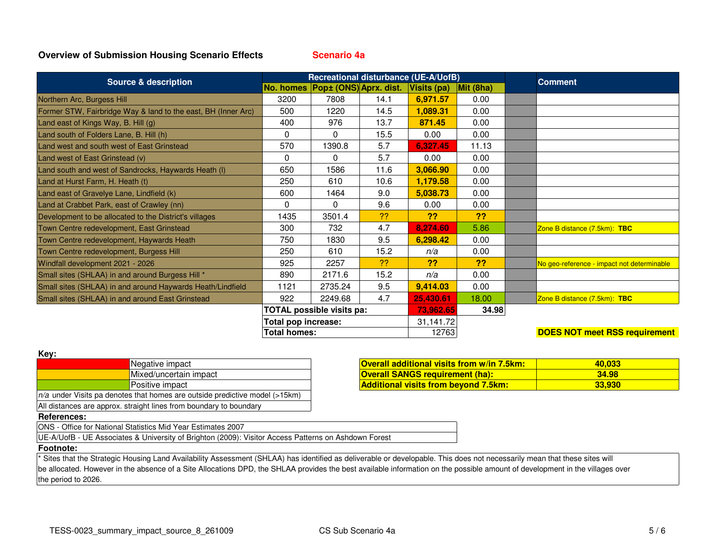**Scenario 4a**

| <b>Source &amp; description</b>                               | Recreational disturbance (UE-A/UofB) |                                  |      |             |                   | <b>Comment</b>                             |
|---------------------------------------------------------------|--------------------------------------|----------------------------------|------|-------------|-------------------|--------------------------------------------|
|                                                               |                                      | No. homes Pop± (ONS) Aprx. dist. |      | Visits (pa) | $\vert$ Mit (8ha) |                                            |
| Northern Arc, Burgess Hill                                    | 3200                                 | 7808                             | 14.1 | 6,971.57    | 0.00              |                                            |
| Former STW, Fairbridge Way & land to the east, BH (Inner Arc) | 500                                  | 1220                             | 14.5 | 1,089.31    | 0.00              |                                            |
| Land east of Kings Way, B. Hill (g)                           | 400                                  | 976                              | 13.7 | 871.45      | 0.00              |                                            |
| Land south of Folders Lane, B. Hill (h)                       | 0                                    | $\Omega$                         | 15.5 | 0.00        | 0.00              |                                            |
| Land west and south west of East Grinstead                    | 570                                  | 1390.8                           | 5.7  | 6,327.45    | 11.13             |                                            |
| Land west of East Grinstead (v)                               | 0                                    | $\Omega$                         | 5.7  | 0.00        | 0.00              |                                            |
| Land south and west of Sandrocks, Haywards Heath (I)          | 650                                  | 1586                             | 11.6 | 3,066.90    | 0.00              |                                            |
| Land at Hurst Farm, H. Heath (t)                              | 250                                  | 610                              | 10.6 | 1,179.58    | 0.00              |                                            |
| Land east of Gravelye Lane, Lindfield (k)                     | 600                                  | 1464                             | 9.0  | 5,038.73    | 0.00              |                                            |
| Land at Crabbet Park, east of Crawley (nn)                    | 0                                    | $\Omega$                         | 9.6  | 0.00        | 0.00              |                                            |
| Development to be allocated to the District's villages        | 1435                                 | 3501.4                           | ??   | ??          | ??                |                                            |
| Town Centre redevelopment, East Grinstead                     | 300                                  | 732                              | 4.7  | 8,274.60    | 5.86              | Zone B distance (7.5km): TBC               |
| Town Centre redevelopment, Haywards Heath                     | 750                                  | 1830                             | 9.5  | 6,298.42    | 0.00              |                                            |
| Town Centre redevelopment, Burgess Hill                       | 250                                  | 610                              | 15.2 | n/a         | 0.00              |                                            |
| Windfall development 2021 - 2026                              | 925                                  | 2257                             | ??   | ??          | ??                | No geo-reference - impact not determinable |
| Small sites (SHLAA) in and around Burgess Hill *              | 890                                  | 2171.6                           | 15.2 | n/a         | 0.00              |                                            |
| Small sites (SHLAA) in and around Haywards Heath/Lindfield    | 1121                                 | 2735.24                          | 9.5  | 9,414.03    | 0.00              |                                            |
| Small sites (SHLAA) in and around East Grinstead              | 922                                  | 2249.68                          | 4.7  | 25,430.61   | 18.00             | Zone B distance (7.5km): TBC               |
|                                                               | <b>TOTAL possible visits pa:</b>     |                                  |      | 73,962.65   | 34.98             |                                            |
|                                                               | Total pop increase:                  |                                  |      | 31,141.72   |                   |                                            |
|                                                               | <b>Total homes:</b>                  |                                  |      | 12763       |                   | <b>DOES NOT meet RSS requirement</b>       |

| ۰.<br>×. |  |
|----------|--|

| . <b>.</b> .                                                                  |                        |  |  |  |
|-------------------------------------------------------------------------------|------------------------|--|--|--|
|                                                                               | Negative impact        |  |  |  |
|                                                                               | Mixed/uncertain impact |  |  |  |
|                                                                               | Positive impact        |  |  |  |
| $n/a$ under Visits pa denotes that homes are outside predictive model (>15km) |                        |  |  |  |
| All distances are approx. straight lines from boundary to boundary            |                        |  |  |  |

|          | <b>Overall additional visits from w/in 7.5km:</b> | 40.033 |
|----------|---------------------------------------------------|--------|
| n impact | <b>Overall SANGS requirement (ha):</b>            | 34.98  |
|          | <b>Additional visits from beyond 7.5km:</b>       | 33.930 |

## **References:**

ONS - Office for National Statistics Mid Year Estimates 2007

UE-A/UofB - UE Associates & University of Brighton (2009): Visitor Access Patterns on Ashdown Forest

## **Footnote:**